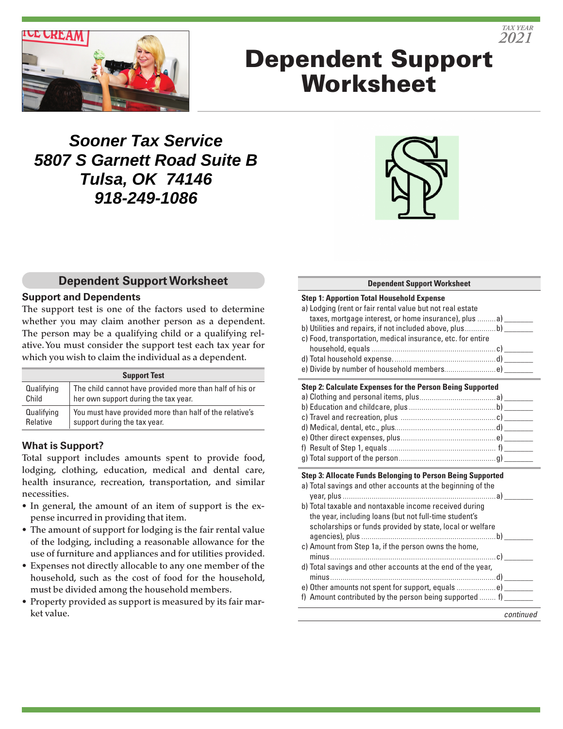

# Dependent Support **Worksheet**

## **Sooner Tax Service 5807 S Garnett Road Suite B Tulsa, OK 74146 918-249-1086**



## **Dependent Support Worksheet**

#### **Support and Dependents**

The support test is one of the factors used to determine whether you may claim another person as a dependent. The person may be a qualifying child or a qualifying relative. You must consider the support test each tax year for which you wish to claim the individual as a dependent.

| <b>Support Test</b> |                                                         |  |  |
|---------------------|---------------------------------------------------------|--|--|
| Qualifying          | The child cannot have provided more than half of his or |  |  |
| Child               | her own support during the tax year.                    |  |  |
| Qualifying          | You must have provided more than half of the relative's |  |  |
| Relative            | support during the tax year.                            |  |  |

## **What is Support?**

Total support includes amounts spent to provide food, lodging, clothing, education, medical and dental care, health insurance, recreation, transportation, and similar necessities.

- In general, the amount of an item of support is the expense incurred in providing that item.
- The amount of support for lodging is the fair rental value of the lodging, including a reasonable allowance for the use of furniture and appliances and for utilities provided.
- Expenses not directly allocable to any one member of the household, such as the cost of food for the household, must be divided among the household members.
- Property provided as support is measured by its fair market value.

### **Dependent Support Worksheet**

| <b>Step 1: Apportion Total Household Expense</b>                  |           |
|-------------------------------------------------------------------|-----------|
| a) Lodging (rent or fair rental value but not real estate         |           |
| taxes, mortgage interest, or home insurance), plus a) _______     |           |
| b) Utilities and repairs, if not included above, plusb) _______   |           |
| c) Food, transportation, medical insurance, etc. for entire       |           |
|                                                                   |           |
|                                                                   |           |
| e) Divide by number of household memberse)_______                 |           |
| Step 2: Calculate Expenses for the Person Being Supported         |           |
|                                                                   |           |
|                                                                   |           |
|                                                                   |           |
|                                                                   |           |
|                                                                   |           |
|                                                                   |           |
|                                                                   |           |
| Step 3: Allocate Funds Belonging to Person Being Supported        |           |
| a) Total savings and other accounts at the beginning of the       |           |
|                                                                   |           |
| b) Total taxable and nontaxable income received during            |           |
| the year, including loans (but not full-time student's            |           |
| scholarships or funds provided by state, local or welfare         |           |
|                                                                   |           |
| c) Amount from Step 1a, if the person owns the home,              |           |
|                                                                   |           |
| d) Total savings and other accounts at the end of the year,       |           |
| e) Other amounts not spent for support, equals e) ________        |           |
| f) Amount contributed by the person being supported $f$ ) _______ |           |
|                                                                   |           |
|                                                                   | continued |